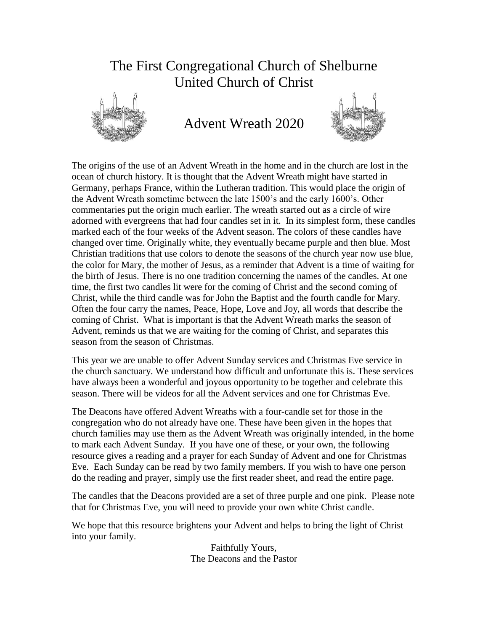# The First Congregational Church of Shelburne United Church of Christ



Advent Wreath 2020



The origins of the use of an Advent Wreath in the home and in the church are lost in the ocean of church history. It is thought that the Advent Wreath might have started in Germany, perhaps France, within the Lutheran tradition. This would place the origin of the Advent Wreath sometime between the late 1500's and the early 1600's. Other commentaries put the origin much earlier. The wreath started out as a circle of wire adorned with evergreens that had four candles set in it. In its simplest form, these candles marked each of the four weeks of the Advent season. The colors of these candles have changed over time. Originally white, they eventually became purple and then blue. Most Christian traditions that use colors to denote the seasons of the church year now use blue, the color for Mary, the mother of Jesus, as a reminder that Advent is a time of waiting for the birth of Jesus. There is no one tradition concerning the names of the candles. At one time, the first two candles lit were for the coming of Christ and the second coming of Christ, while the third candle was for John the Baptist and the fourth candle for Mary. Often the four carry the names, Peace, Hope, Love and Joy, all words that describe the coming of Christ. What is important is that the Advent Wreath marks the season of Advent, reminds us that we are waiting for the coming of Christ, and separates this season from the season of Christmas.

This year we are unable to offer Advent Sunday services and Christmas Eve service in the church sanctuary. We understand how difficult and unfortunate this is. These services have always been a wonderful and joyous opportunity to be together and celebrate this season. There will be videos for all the Advent services and one for Christmas Eve.

The Deacons have offered Advent Wreaths with a four-candle set for those in the congregation who do not already have one. These have been given in the hopes that church families may use them as the Advent Wreath was originally intended, in the home to mark each Advent Sunday. If you have one of these, or your own, the following resource gives a reading and a prayer for each Sunday of Advent and one for Christmas Eve. Each Sunday can be read by two family members. If you wish to have one person do the reading and prayer, simply use the first reader sheet, and read the entire page.

The candles that the Deacons provided are a set of three purple and one pink. Please note that for Christmas Eve, you will need to provide your own white Christ candle.

We hope that this resource brightens your Advent and helps to bring the light of Christ into your family.

> Faithfully Yours, The Deacons and the Pastor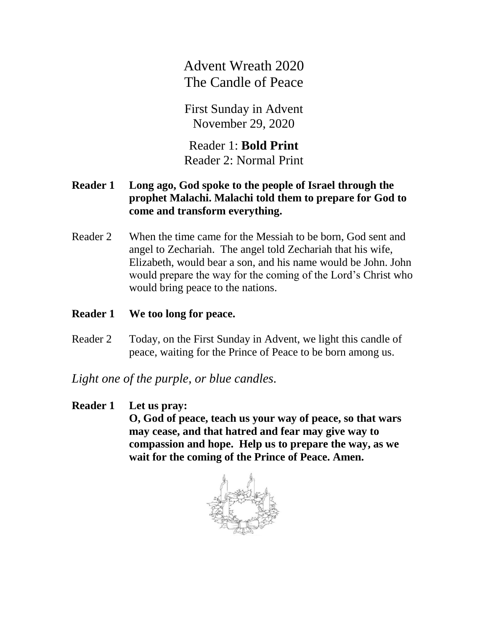Advent Wreath 2020 The Candle of Peace

First Sunday in Advent November 29, 2020

Reader 1: **Bold Print** Reader 2: Normal Print

### **Reader 1 Long ago, God spoke to the people of Israel through the prophet Malachi. Malachi told them to prepare for God to come and transform everything.**

Reader 2 When the time came for the Messiah to be born, God sent and angel to Zechariah. The angel told Zechariah that his wife, Elizabeth, would bear a son, and his name would be John. John would prepare the way for the coming of the Lord's Christ who would bring peace to the nations.

## **Reader 1 We too long for peace.**

Reader 2 Today, on the First Sunday in Advent, we light this candle of peace, waiting for the Prince of Peace to be born among us.

*Light one of the purple, or blue candles.* 

#### **Reader 1 Let us pray:**

**O, God of peace, teach us your way of peace, so that wars may cease, and that hatred and fear may give way to compassion and hope. Help us to prepare the way, as we wait for the coming of the Prince of Peace. Amen.**

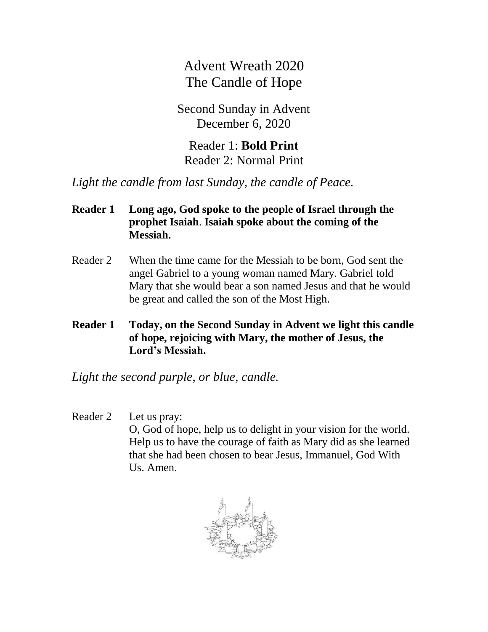Advent Wreath 2020 The Candle of Hope

Second Sunday in Advent December 6, 2020

Reader 1: **Bold Print** Reader 2: Normal Print

*Light the candle from last Sunday, the candle of Peace.*

## **Reader 1 Long ago, God spoke to the people of Israel through the prophet Isaiah**. **Isaiah spoke about the coming of the Messiah.**

- Reader 2 When the time came for the Messiah to be born, God sent the angel Gabriel to a young woman named Mary. Gabriel told Mary that she would bear a son named Jesus and that he would be great and called the son of the Most High.
- **Reader 1 Today, on the Second Sunday in Advent we light this candle of hope, rejoicing with Mary, the mother of Jesus, the Lord's Messiah.**

*Light the second purple, or blue, candle.* 

#### Reader 2 Let us pray:

O, God of hope, help us to delight in your vision for the world. Help us to have the courage of faith as Mary did as she learned that she had been chosen to bear Jesus, Immanuel, God With Us. Amen.

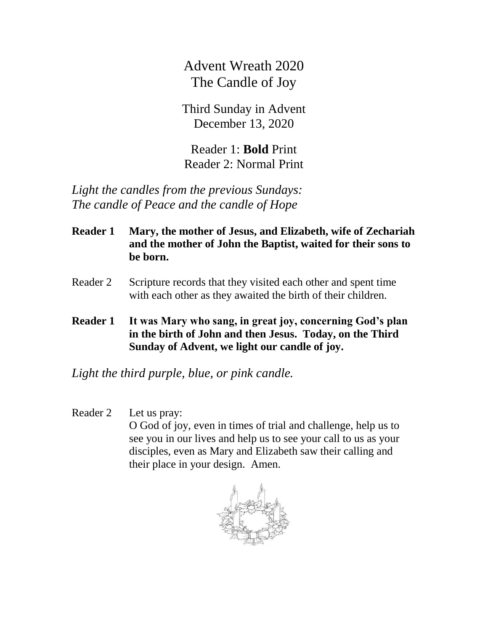Advent Wreath 2020 The Candle of Joy

Third Sunday in Advent December 13, 2020

Reader 1: **Bold** Print Reader 2: Normal Print

*Light the candles from the previous Sundays: The candle of Peace and the candle of Hope*

- **Reader 1 Mary, the mother of Jesus, and Elizabeth, wife of Zechariah and the mother of John the Baptist, waited for their sons to be born.**
- Reader 2 Scripture records that they visited each other and spent time with each other as they awaited the birth of their children.
- **Reader 1 It was Mary who sang, in great joy, concerning God's plan in the birth of John and then Jesus. Today, on the Third Sunday of Advent, we light our candle of joy.**

*Light the third purple, blue, or pink candle.* 

#### Reader 2 Let us pray:

O God of joy, even in times of trial and challenge, help us to see you in our lives and help us to see your call to us as your disciples, even as Mary and Elizabeth saw their calling and their place in your design. Amen.

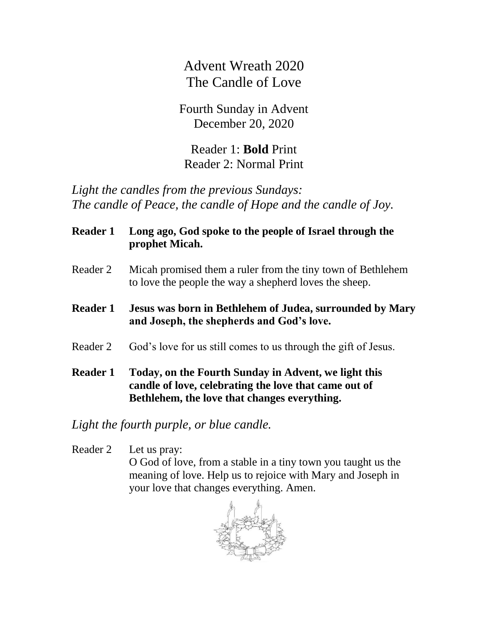Advent Wreath 2020 The Candle of Love

Fourth Sunday in Advent December 20, 2020

Reader 1: **Bold** Print Reader 2: Normal Print

*Light the candles from the previous Sundays: The candle of Peace, the candle of Hope and the candle of Joy.*

- **Reader 1 Long ago, God spoke to the people of Israel through the prophet Micah.**
- Reader 2 Micah promised them a ruler from the tiny town of Bethlehem to love the people the way a shepherd loves the sheep.
- **Reader 1 Jesus was born in Bethlehem of Judea, surrounded by Mary and Joseph, the shepherds and God's love.**
- Reader 2 God's love for us still comes to us through the gift of Jesus.
- **Reader 1 Today, on the Fourth Sunday in Advent, we light this candle of love, celebrating the love that came out of Bethlehem, the love that changes everything.**

*Light the fourth purple, or blue candle.* 

Reader 2 Let us pray: O God of love, from a stable in a tiny town you taught us the meaning of love. Help us to rejoice with Mary and Joseph in your love that changes everything. Amen.